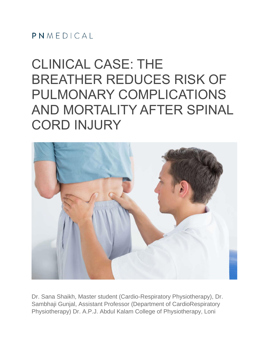### $PMMFDICA$

# CLINICAL CASE: THE BREATHER REDUCES RISK OF PULMONARY COMPLICATIONS AND MORTALITY AFTER SPINAL CORD INJURY



Dr. Sana Shaikh, Master student (Cardio-Respiratory Physiotherapy), Dr. Sambhaji Gunjal, Assistant Professor (Department of CardioRespiratory Physiotherapy) Dr. A.P.J. Abdul Kalam College of Physiotherapy, Loni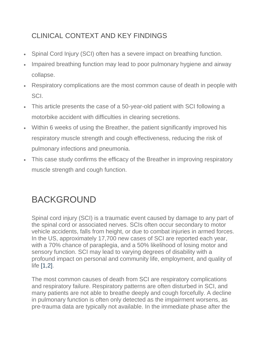### CLINICAL CONTEXT AND KEY FINDINGS

- Spinal Cord Injury (SCI) often has a severe impact on breathing function.
- Impaired breathing function may lead to poor pulmonary hygiene and airway collapse.
- Respiratory complications are the most common cause of death in people with SCI.
- This article presents the case of a 50-year-old patient with SCI following a motorbike accident with difficulties in clearing secretions.
- Within 6 weeks of using the Breather, the patient significantly improved his respiratory muscle strength and cough effectiveness, reducing the risk of pulmonary infections and pneumonia.
- This case study confirms the efficacy of the Breather in improving respiratory muscle strength and cough function.

# BACKGROUND

Spinal cord injury (SCI) is a traumatic event caused by damage to any part of the spinal cord or associated nerves. SCIs often occur secondary to motor vehicle accidents, falls from height, or due to combat injuries in armed forces. In the US, approximately 17,700 new cases of SCI are reported each year, with a 70% chance of paraplegia, and a 50% likelihood of losing motor and sensory function. SCI may lead to varying degrees of disability with a profound impact on personal and community life, employment, and quality of life [1,2].

The most common causes of death from SCI are respiratory complications and respiratory failure. Respiratory patterns are often disturbed in SCI, and many patients are not able to breathe deeply and cough forcefully. A decline in pulmonary function is often only detected as the impairment worsens, as pre-trauma data are typically not available. In the immediate phase after the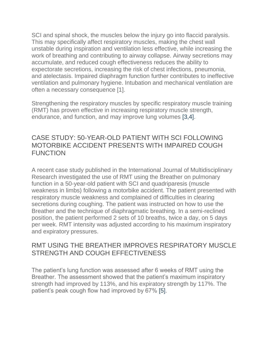SCI and spinal shock, the muscles below the injury go into flaccid paralysis. This may specifically affect respiratory muscles, making the chest wall unstable during inspiration and ventilation less effective, while increasing the work of breathing and contributing to airway collapse. Airway secretions may accumulate, and reduced cough effectiveness reduces the ability to expectorate secretions, increasing the risk of chest infections, pneumonia, and atelectasis. Impaired diaphragm function further contributes to ineffective ventilation and pulmonary hygiene. Intubation and mechanical ventilation are often a necessary consequence [1].

Strengthening the respiratory muscles by specific respiratory muscle training (RMT) has proven effective in increasing respiratory muscle strength, endurance, and function, and may improve lung volumes [3,4].

### CASE STUDY: 50-YEAR-OLD PATIENT WITH SCI FOLLOWING MOTORBIKE ACCIDENT PRESENTS WITH IMPAIRED COUGH **FUNCTION**

A recent case study published in the International Journal of Multidisciplinary Research investigated the use of RMT using the Breather on pulmonary function in a 50-year-old patient with SCI and quadriparesis (muscle weakness in limbs) following a motorbike accident. The patient presented with respiratory muscle weakness and complained of difficulties in clearing secretions during coughing. The patient was instructed on how to use the Breather and the technique of diaphragmatic breathing. In a semi-reclined position, the patient performed 2 sets of 10 breaths, twice a day, on 5 days per week. RMT intensity was adjusted according to his maximum inspiratory and expiratory pressures.

### RMT USING THE BREATHER IMPROVES RESPIRATORY MUSCLE STRENGTH AND COUGH EFFECTIVENESS

The patient's lung function was assessed after 6 weeks of RMT using the Breather. The assessment showed that the patient's maximum inspiratory strength had improved by 113%, and his expiratory strength by 117%. The patient's peak cough flow had improved by 67% [5].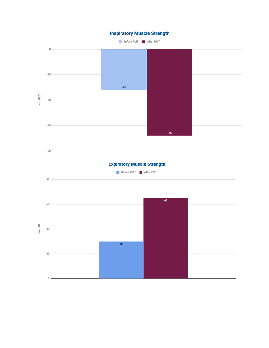

 $\,0\,$   $-$ 

#### **Inspiratory Muscle Strength**